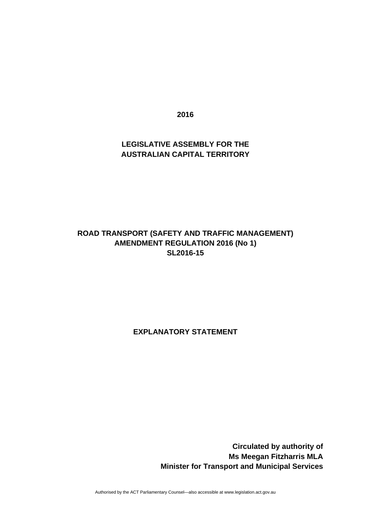**2016** 

#### **LEGISLATIVE ASSEMBLY FOR THE AUSTRALIAN CAPITAL TERRITORY**

#### **ROAD TRANSPORT (SAFETY AND TRAFFIC MANAGEMENT) AMENDMENT REGULATION 2016 (No 1) SL2016-15**

**EXPLANATORY STATEMENT** 

 **Circulated by authority of Ms Meegan Fitzharris MLA Minister for Transport and Municipal Services** 

Authorised by the ACT Parliamentary Counsel—also accessible at www.legislation.act.gov.au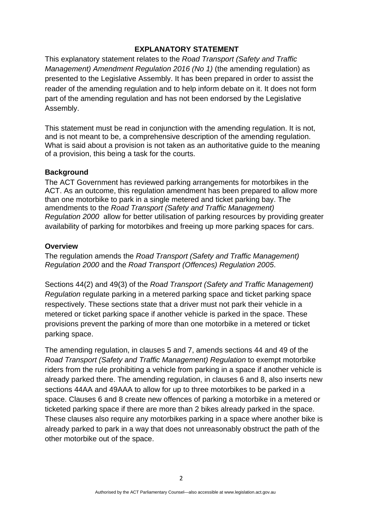#### **EXPLANATORY STATEMENT**

This explanatory statement relates to the *Road Transport (Safety and Traffic Management) Amendment Regulation 2016 (No 1)* (the amending regulation) as presented to the Legislative Assembly. It has been prepared in order to assist the reader of the amending regulation and to help inform debate on it. It does not form part of the amending regulation and has not been endorsed by the Legislative Assembly.

This statement must be read in conjunction with the amending regulation. It is not, and is not meant to be, a comprehensive description of the amending regulation. What is said about a provision is not taken as an authoritative guide to the meaning of a provision, this being a task for the courts.

#### **Background**

The ACT Government has reviewed parking arrangements for motorbikes in the ACT. As an outcome, this regulation amendment has been prepared to allow more than one motorbike to park in a single metered and ticket parking bay. The amendments to the *Road Transport (Safety and Traffic Management) Regulation 2000* allow for better utilisation of parking resources by providing greater availability of parking for motorbikes and freeing up more parking spaces for cars.

#### **Overview**

The regulation amends the *Road Transport (Safety and Traffic Management) Regulation 2000* and the *Road Transport (Offences) Regulation 2005*.

Sections 44(2) and 49(3) of the *Road Transport (Safety and Traffic Management) Regulation* regulate parking in a metered parking space and ticket parking space respectively. These sections state that a driver must not park their vehicle in a metered or ticket parking space if another vehicle is parked in the space. These provisions prevent the parking of more than one motorbike in a metered or ticket parking space.

The amending regulation, in clauses 5 and 7, amends sections 44 and 49 of the *Road Transport (Safety and Traffic Management) Regulation* to exempt motorbike riders from the rule prohibiting a vehicle from parking in a space if another vehicle is already parked there. The amending regulation, in clauses 6 and 8, also inserts new sections 44AA and 49AAA to allow for up to three motorbikes to be parked in a space. Clauses 6 and 8 create new offences of parking a motorbike in a metered or ticketed parking space if there are more than 2 bikes already parked in the space. These clauses also require any motorbikes parking in a space where another bike is already parked to park in a way that does not unreasonably obstruct the path of the other motorbike out of the space.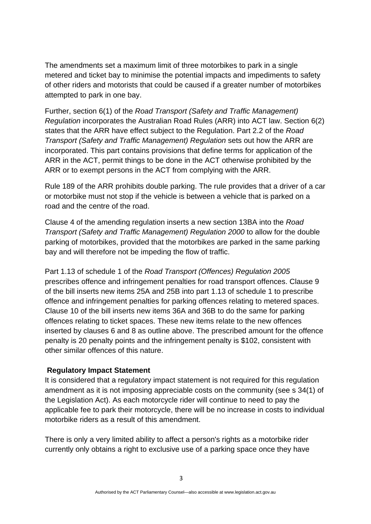The amendments set a maximum limit of three motorbikes to park in a single metered and ticket bay to minimise the potential impacts and impediments to safety of other riders and motorists that could be caused if a greater number of motorbikes attempted to park in one bay.

Further, section 6(1) of the *Road Transport (Safety and Traffic Management) Regulation* incorporates the Australian Road Rules (ARR) into ACT law. Section 6(2) states that the ARR have effect subject to the Regulation. Part 2.2 of the *Road Transport (Safety and Traffic Management) Regulation* sets out how the ARR are incorporated. This part contains provisions that define terms for application of the ARR in the ACT, permit things to be done in the ACT otherwise prohibited by the ARR or to exempt persons in the ACT from complying with the ARR.

Rule 189 of the ARR prohibits double parking. The rule provides that a driver of a car or motorbike must not stop if the vehicle is between a vehicle that is parked on a road and the centre of the road.

Clause 4 of the amending regulation inserts a new section 13BA into the *Road Transport (Safety and Traffic Management) Regulation 2000* to allow for the double parking of motorbikes, provided that the motorbikes are parked in the same parking bay and will therefore not be impeding the flow of traffic.

Part 1.13 of schedule 1 of the *Road Transport (Offences) Regulation 2005* prescribes offence and infringement penalties for road transport offences. Clause 9 of the bill inserts new items 25A and 25B into part 1.13 of schedule 1 to prescribe offence and infringement penalties for parking offences relating to metered spaces. Clause 10 of the bill inserts new items 36A and 36B to do the same for parking offences relating to ticket spaces. These new items relate to the new offences inserted by clauses 6 and 8 as outline above. The prescribed amount for the offence penalty is 20 penalty points and the infringement penalty is \$102, consistent with other similar offences of this nature.

#### **Regulatory Impact Statement**

It is considered that a regulatory impact statement is not required for this regulation amendment as it is not imposing appreciable costs on the community (see s 34(1) of the Legislation Act). As each motorcycle rider will continue to need to pay the applicable fee to park their motorcycle, there will be no increase in costs to individual motorbike riders as a result of this amendment.

There is only a very limited ability to affect a person's rights as a motorbike rider currently only obtains a right to exclusive use of a parking space once they have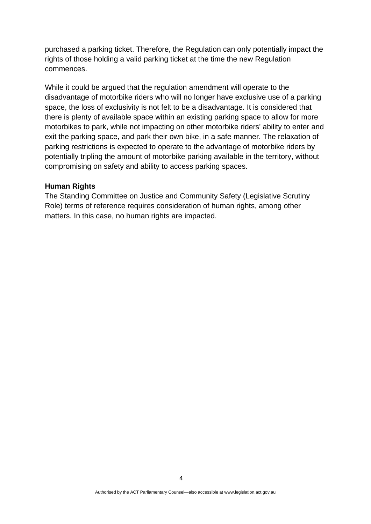purchased a parking ticket. Therefore, the Regulation can only potentially impact the rights of those holding a valid parking ticket at the time the new Regulation commences.

While it could be argued that the regulation amendment will operate to the disadvantage of motorbike riders who will no longer have exclusive use of a parking space, the loss of exclusivity is not felt to be a disadvantage. It is considered that there is plenty of available space within an existing parking space to allow for more motorbikes to park, while not impacting on other motorbike riders' ability to enter and exit the parking space, and park their own bike, in a safe manner. The relaxation of parking restrictions is expected to operate to the advantage of motorbike riders by potentially tripling the amount of motorbike parking available in the territory, without compromising on safety and ability to access parking spaces.

#### **Human Rights**

The Standing Committee on Justice and Community Safety (Legislative Scrutiny Role) terms of reference requires consideration of human rights, among other matters. In this case, no human rights are impacted.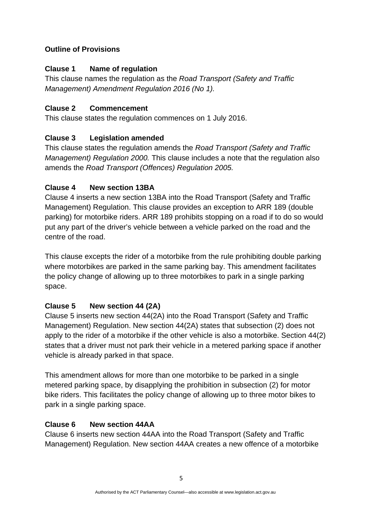#### **Outline of Provisions**

#### **Clause 1 Name of regulation**

This clause names the regulation as the *Road Transport (Safety and Traffic Management) Amendment Regulation 2016 (No 1).* 

#### **Clause 2 Commencement**

This clause states the regulation commences on 1 July 2016.

## **Clause 3 Legislation amended**

This clause states the regulation amends the *Road Transport (Safety and Traffic Management) Regulation 2000.* This clause includes a note that the regulation also amends the *Road Transport (Offences) Regulation 2005.*

#### **Clause 4 New section 13BA**

Clause 4 inserts a new section 13BA into the Road Transport (Safety and Traffic Management) Regulation. This clause provides an exception to ARR 189 (double parking) for motorbike riders. ARR 189 prohibits stopping on a road if to do so would put any part of the driver's vehicle between a vehicle parked on the road and the centre of the road.

This clause excepts the rider of a motorbike from the rule prohibiting double parking where motorbikes are parked in the same parking bay. This amendment facilitates the policy change of allowing up to three motorbikes to park in a single parking space.

## **Clause 5 New section 44 (2A)**

Clause 5 inserts new section 44(2A) into the Road Transport (Safety and Traffic Management) Regulation. New section 44(2A) states that subsection (2) does not apply to the rider of a motorbike if the other vehicle is also a motorbike. Section 44(2) states that a driver must not park their vehicle in a metered parking space if another vehicle is already parked in that space.

This amendment allows for more than one motorbike to be parked in a single metered parking space, by disapplying the prohibition in subsection (2) for motor bike riders. This facilitates the policy change of allowing up to three motor bikes to park in a single parking space.

## **Clause 6 New section 44AA**

Clause 6 inserts new section 44AA into the Road Transport (Safety and Traffic Management) Regulation. New section 44AA creates a new offence of a motorbike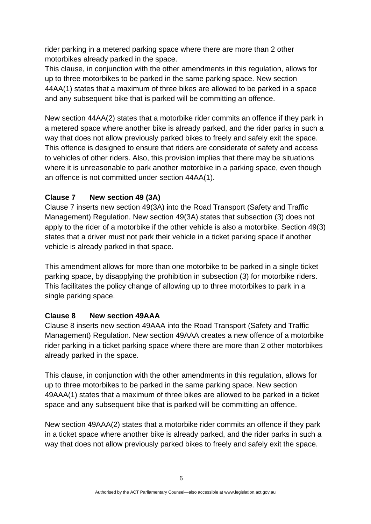rider parking in a metered parking space where there are more than 2 other motorbikes already parked in the space.

This clause, in conjunction with the other amendments in this regulation, allows for up to three motorbikes to be parked in the same parking space. New section 44AA(1) states that a maximum of three bikes are allowed to be parked in a space and any subsequent bike that is parked will be committing an offence.

New section 44AA(2) states that a motorbike rider commits an offence if they park in a metered space where another bike is already parked, and the rider parks in such a way that does not allow previously parked bikes to freely and safely exit the space. This offence is designed to ensure that riders are considerate of safety and access to vehicles of other riders. Also, this provision implies that there may be situations where it is unreasonable to park another motorbike in a parking space, even though an offence is not committed under section 44AA(1).

# **Clause 7 New section 49 (3A)**

Clause 7 inserts new section 49(3A) into the Road Transport (Safety and Traffic Management) Regulation. New section 49(3A) states that subsection (3) does not apply to the rider of a motorbike if the other vehicle is also a motorbike. Section 49(3) states that a driver must not park their vehicle in a ticket parking space if another vehicle is already parked in that space.

This amendment allows for more than one motorbike to be parked in a single ticket parking space, by disapplying the prohibition in subsection (3) for motorbike riders. This facilitates the policy change of allowing up to three motorbikes to park in a single parking space.

## **Clause 8 New section 49AAA**

Clause 8 inserts new section 49AAA into the Road Transport (Safety and Traffic Management) Regulation. New section 49AAA creates a new offence of a motorbike rider parking in a ticket parking space where there are more than 2 other motorbikes already parked in the space.

This clause, in conjunction with the other amendments in this regulation, allows for up to three motorbikes to be parked in the same parking space. New section 49AAA(1) states that a maximum of three bikes are allowed to be parked in a ticket space and any subsequent bike that is parked will be committing an offence.

New section 49AAA(2) states that a motorbike rider commits an offence if they park in a ticket space where another bike is already parked, and the rider parks in such a way that does not allow previously parked bikes to freely and safely exit the space.